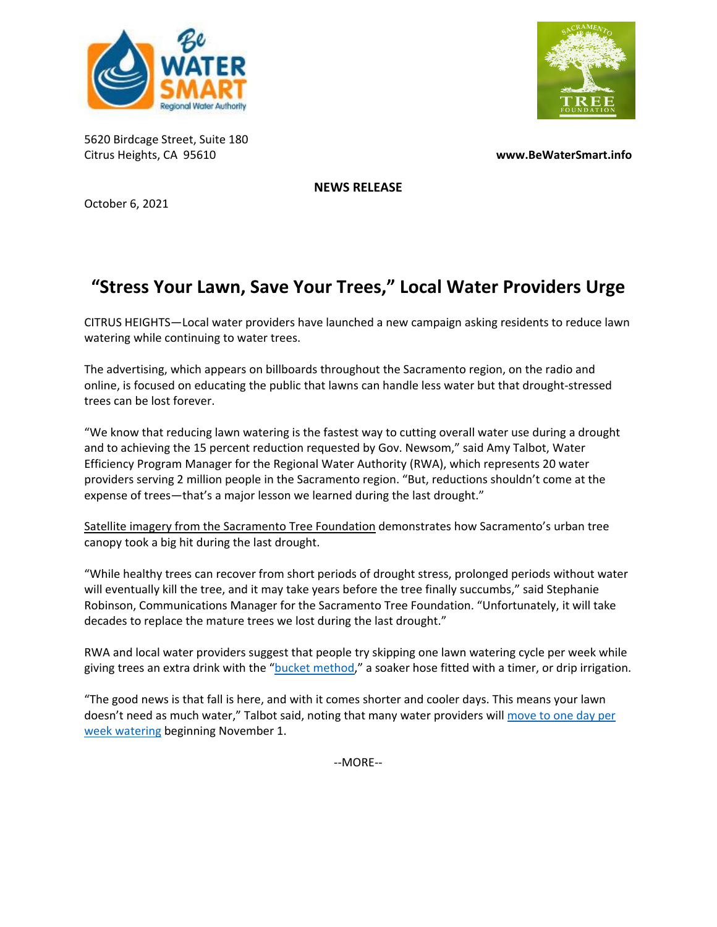



5620 Birdcage Street, Suite 180 Citrus Heights, CA 95610 **www.BeWaterSmart.info**

**NEWS RELEASE**

October 6, 2021

## **"Stress Your Lawn, Save Your Trees," Local Water Providers Urge**

CITRUS HEIGHTS—Local water providers have launched a new campaign asking residents to reduce lawn watering while continuing to water trees.

The advertising, which appears on billboards throughout the Sacramento region, on the radio and online, is focused on educating the public that lawns can handle less water but that drought‐stressed trees can be lost forever.

"We know that reducing lawn watering is the fastest way to cutting overall water use during a drought and to achieving the 15 percent reduction requested by Gov. Newsom," said Amy Talbot, Water Efficiency Program Manager for the Regional Water Authority (RWA), which represents 20 water providers serving 2 million people in the Sacramento region. "But, reductions shouldn't come at the expense of trees—that's a major lesson we learned during the last drought."

Satellite imagery from the [Sacramento](https://www.sactree.com/news/1347) Tree Foundatio[n](https://www.sactree.com/news/1347) demonstrates how Sacramento's urban tree canopy took a big hit during the last drought.

"While healthy trees can recover from short periods of drought stress, prolonged periods without water will eventually kill the tree, and it may take years before the tree finally succumbs," said Stephanie Robinson, Communications Manager for the Sacramento Tree Foundation. "Unfortunately, it will take decades to replace the mature trees we lost during the last drought."

RWA and local water providers suggest that people try skipping one lawn watering cycle per week while giving trees an extra drink with the "bucket [method,"](https://bewatersmart.info/learn-the-bucket-method-to-help-young-trees/) a soaker hose fitted with a timer, or drip irrigation.

"The good news is that fall is here, and with it comes shorter and cooler days. This means your lawn doesn't need as much water," Talbot said, noting that many water providers will [move](https://bewatersmart.info/wateringmap/) to one day per week watering beginning November 1.

‐‐MORE‐‐